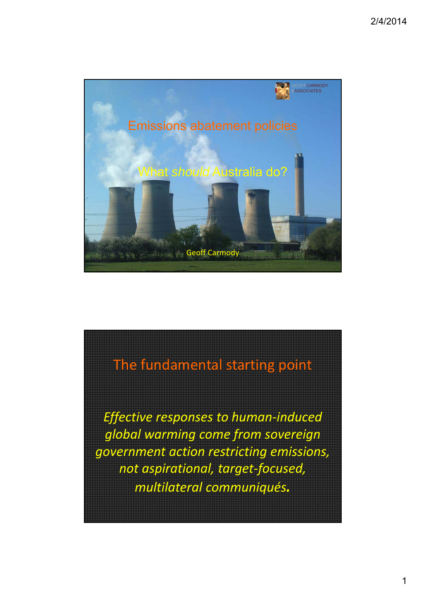

## The fundamental starting point

*Effective responses to human‐induced global warming come from sovereign government action restricting emissions, not aspirational, target‐focused, multilateral communiqués.*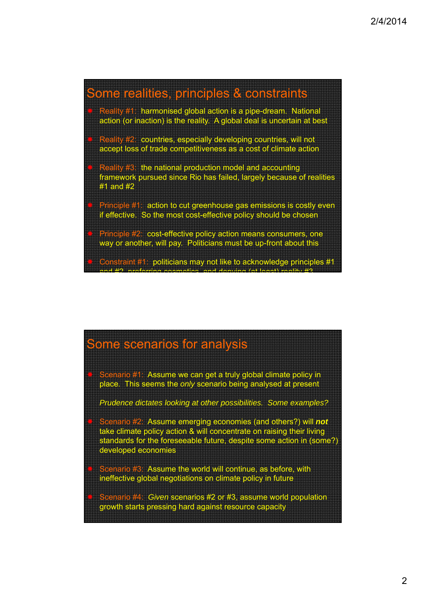

### Some scenarios for analysis

Scenario #1: Assume we can get a truly global climate policy in place. This seems the *only* scenario being analysed at present

*Prudence dictates looking at other possibilities. Some examples?*

- Scenario #2: Assume emerging economies (and others?) will *not* take climate policy action & will concentrate on raising their living standards for the foreseeable future, despite some action in (some?) developed economies
- Scenario #3: Assume the world will continue, as before, with ineffective global negotiations on climate policy in future
- enario #4: *Given* scenarios #2 or #3, assume world population growth starts pressing hard against resource capacity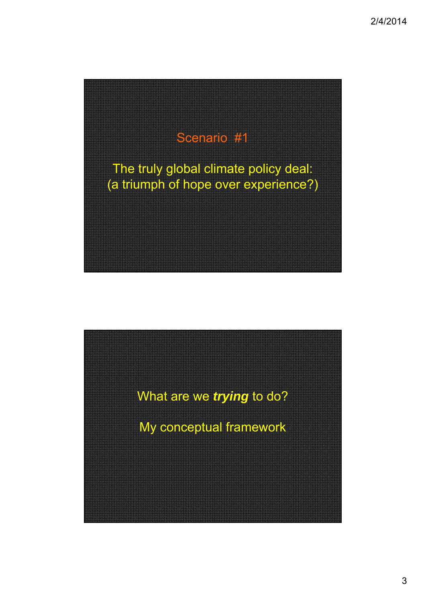

What are we *trying* to do?

My conceptual framework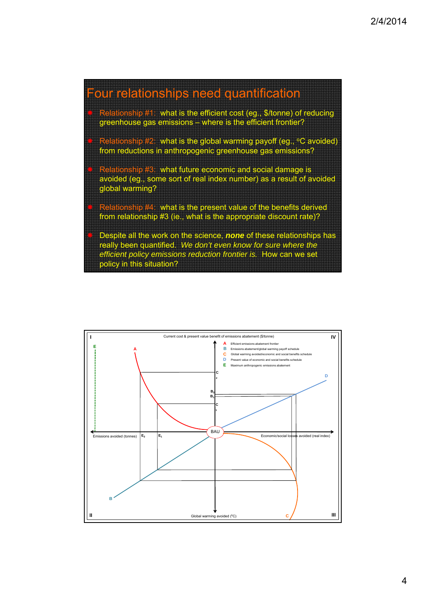

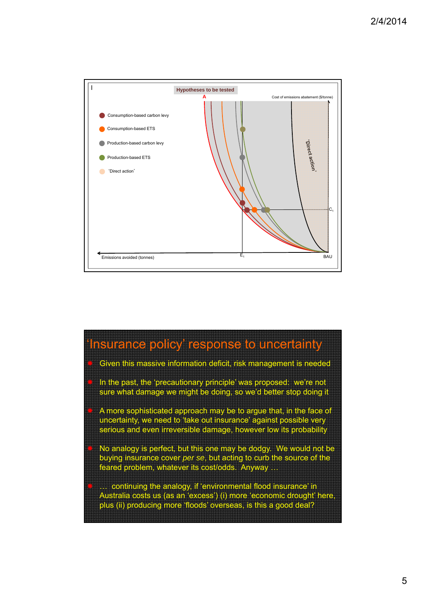

## Insurance policy' response to uncertainty

- Given this massive information deficit, risk management is needed
- In the past, the 'precautionary principle' was proposed: we're not sure what damage we might be doing, so we'd better stop doing it
	- A more sophisticated approach may be to argue that, in the face of uncertainty, we need to 'take out insurance' against possible very serious and even irreversible damage, however low its probability
- No analogy is perfect, but this one may be dodgy. We would not be buying insurance cover *per se*, but acting to curb the source of the feared problem, whatever its cost/odds. Anyway …
- … continuing the analogy, if 'environmental flood insurance' in Australia costs us (as an 'excess') (i) more 'economic drought' here, plus (ii) producing more 'floods' overseas, is this a good deal?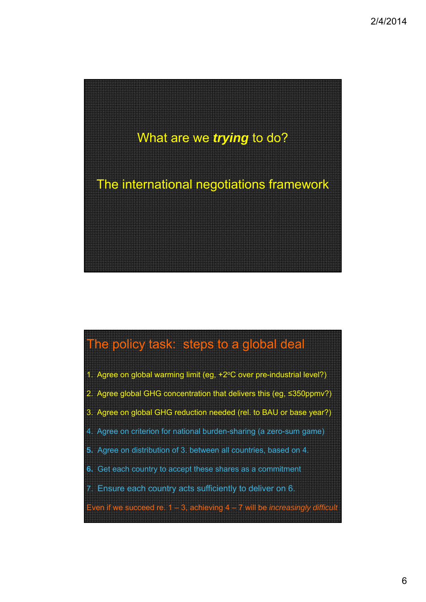

# The policy task: steps to a global deal

- 1. Agree on global warming limit (eg, +2°C over pre-industrial level?)
- 2. Agree global GHG concentration that delivers this (eg, ≤350ppmv?)
- 3. Agree on global GHG reduction needed (rel. to BAU or base year?)
- 4. Agree on criterion for national burden-sharing (a zero-sum game)
- **5.** Agree on distribution of 3. between all countries, based on 4.
- **6.** Get each country to accept these shares as a commitment
- 7. Ensure each country acts sufficiently to deliver on 6.
- Even if we succeed re. 1 3, achieving 4 7 will be *increasingly difficul*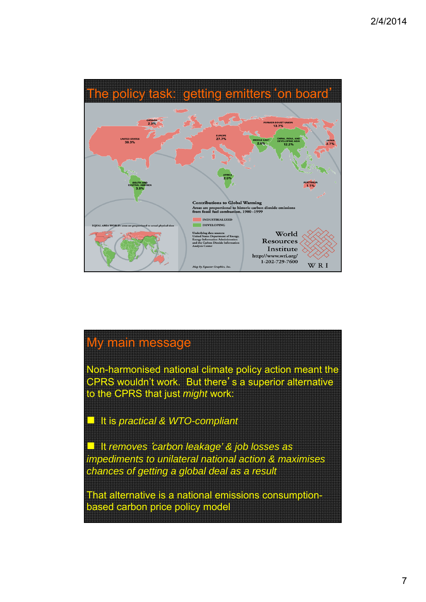

### My main message

Non-harmonised national climate policy action meant the CPRS wouldn't work. But there's a superior alternative to the CPRS that just *might* work:

**I** It is *practical & WTO-compliant* 

 It *removes*'*carbon leakage' & job losses as impediments to unilateral national action & maximises chances of getting a global deal as a result*

That alternative is a national emissions consumptionbased carbon price policy model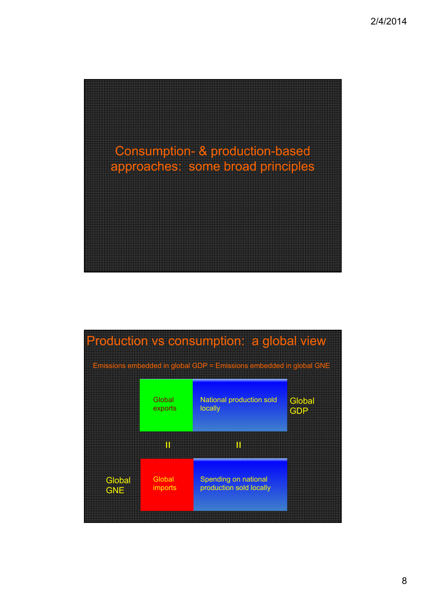

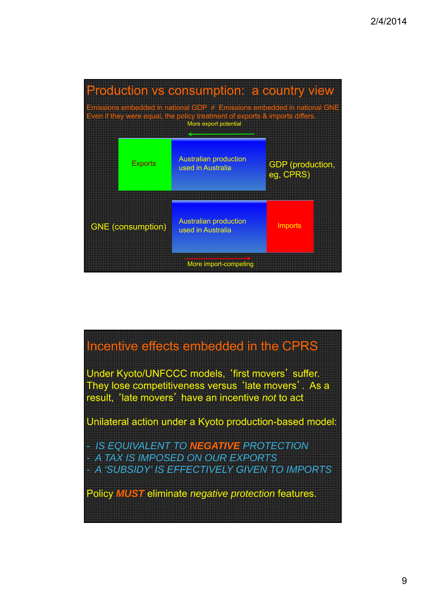| Production vs consumption: a country view<br>Emissions embedded in national GDP $\neq$ Emissions embedded in national GNE |                          |                                                   |                                            |
|---------------------------------------------------------------------------------------------------------------------------|--------------------------|---------------------------------------------------|--------------------------------------------|
| Even if they were equal, the policy treatment of exports & imports differs.<br>More export potential                      |                          |                                                   |                                            |
|                                                                                                                           | <b>Exports</b>           | <b>Australian production</b><br>used in Australia | <b>GDP</b> (production,<br><b>eg GPRS)</b> |
|                                                                                                                           | <b>GNE (consumption)</b> | <b>Australian production</b><br>used in Australia | Imports                                    |
| More import-competing                                                                                                     |                          |                                                   |                                            |

### Incentive effects embedded in the CPRS

Under Kyoto/UNFCCC models, 'first movers' suffer. They lose competitiveness versus 'late movers'. As a result, 'late movers' have an incentive *not* to act

Unilateral action under a Kyoto production-based model:

- *IS EQUIVALENT TO NEGATIVE PROTECTION - A TAX IS IMPOSED ON OUR EXPORTS - A 'SUBSIDY' IS EFFECTIVELY GIVEN TO IMPORTS*

Policy *MUST* eliminate *negative protection* features.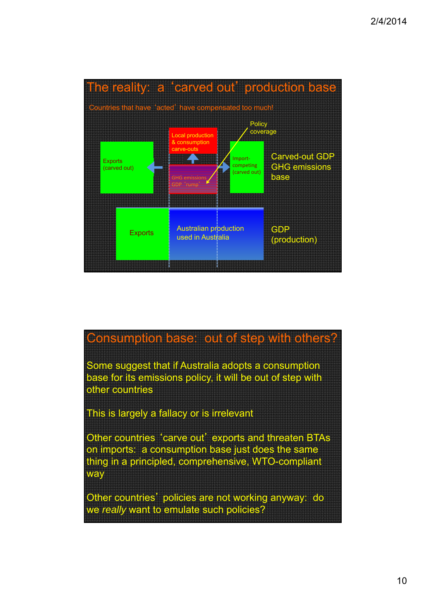

### Consumption base: out of step with others?

Some suggest that if Australia adopts a consumption base for its emissions policy, it will be out of step with other countries

This is largely a fallacy or is irrelevant

Other countries 'carve out' exports and threaten BTAs on imports: a consumption base just does the same thing in a principled, comprehensive, WTO-compliant way

Other countries' policies are not working anyway: do we *really* want to emulate such policies?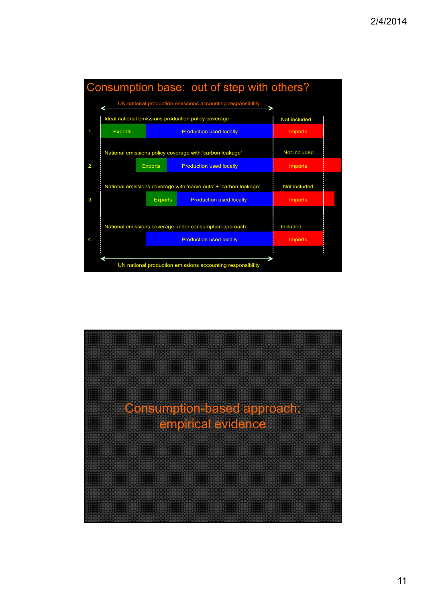

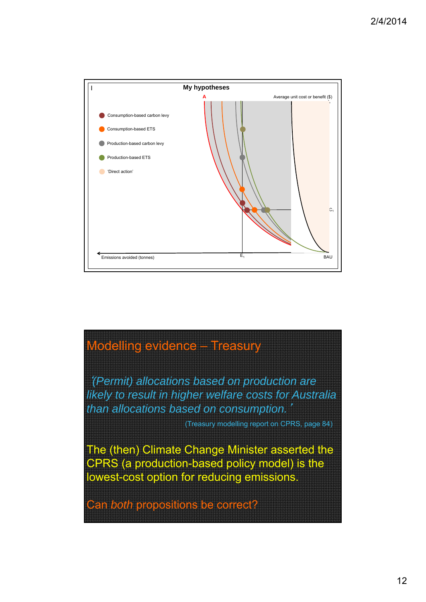

### Modelling evidence – Treasury

'*(Permit) allocations based on production are likely to result in higher welfare costs for Australia than allocations based on consumption.*'

(Treasury modelling report on CPRS, page 84)

The (then) Climate Change Minister asserted the CPRS (a production-based policy model) is the lowest-cost option for reducing emissions.

Can *both* propositions be correct?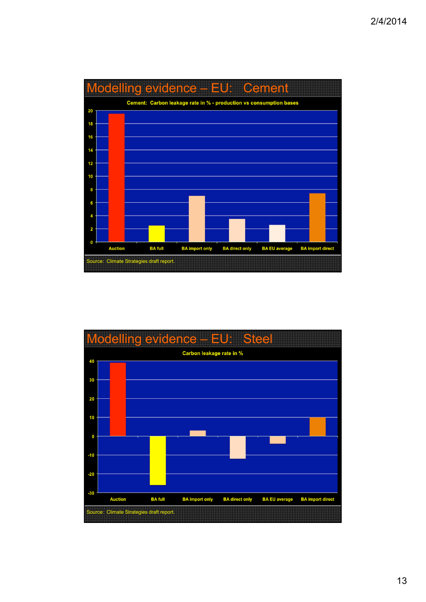

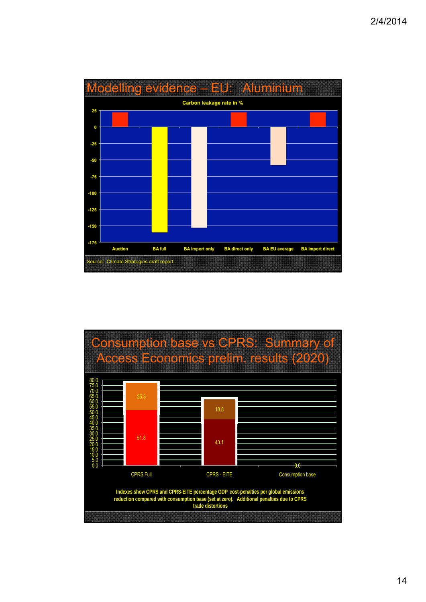

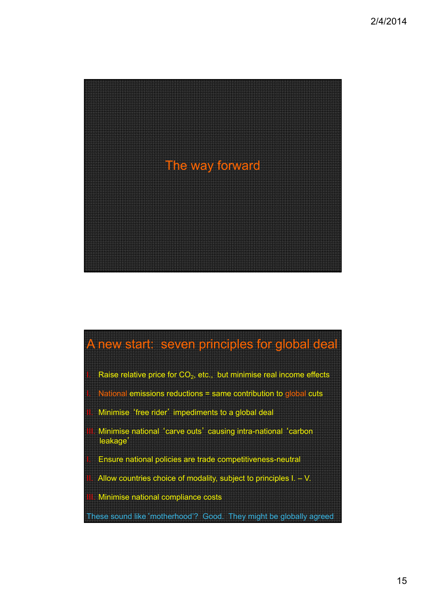

# A new start: seven principles for global deal

Raise relative price for  $CO<sub>2</sub>$ , etc., but minimise real income effects

National emissions reductions = same contribution to global cuts

- Minimise 'free rider' impediments to a global deal
- Minimise national 'carve outs' causing intra-national 'carbon leakage'
- Ensure national policies are trade competitiveness-neutral
- Allow countries choice of modality, subject to principles  $I. V.$
- Minimise national compliance costs

These sound like'motherhood'? Good. They might be globally agreed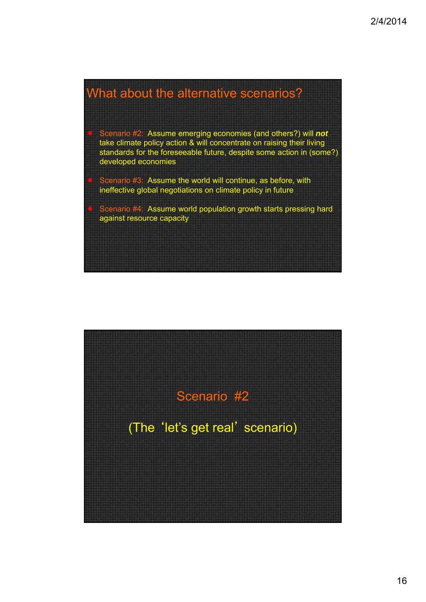### What about the alternative scenarios?

- Scenario #2: Assume emerging economies (and others?) will *not* take climate policy action & will concentrate on raising their living standards for the foreseeable future, despite some action in (some?) developed economies
- Scenario #3: Assume the world will continue, as before, with ineffective global negotiations on climate policy in future
- Scenario #4: Assume world population growth starts pressing hard against resource capacity

Scenario #2

(The 'let's get real' scenario)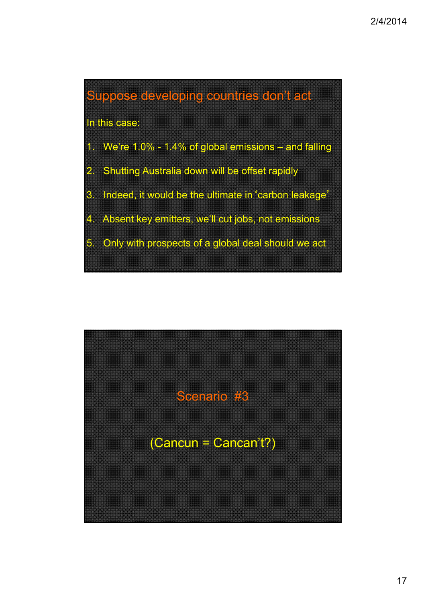

- 3. Indeed, it would be the ultimate in'carbon leakage'
- 4. Absent key emitters, we'll cut jobs, not emissions
- 5. Only with prospects of a global deal should we act

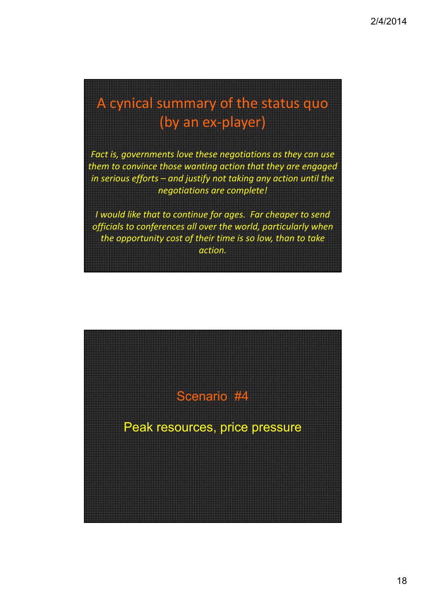# A cynical summary of the status quo (by an ex‐player)

*Fact is, governments love these negotiations as they can use them to convince those wanting action that they are engaged in serious efforts – and justify not taking any action until the negotiations are complete!* 

*I would like that to continue for ages. Far cheaper to send officials to conferences all over the world, particularly when the opportunity cost of their time is so low, than to take action.*

Scenario #4

Peak resources, price pressure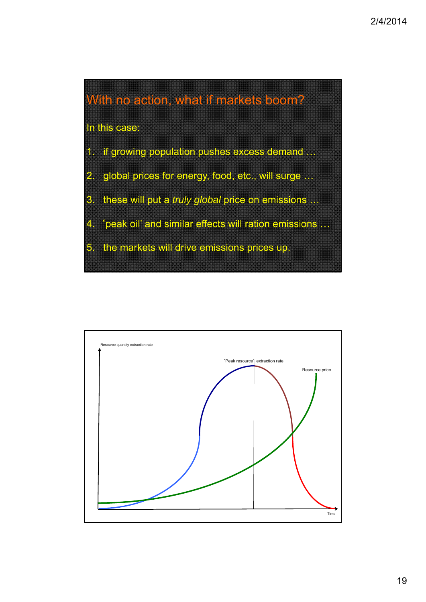

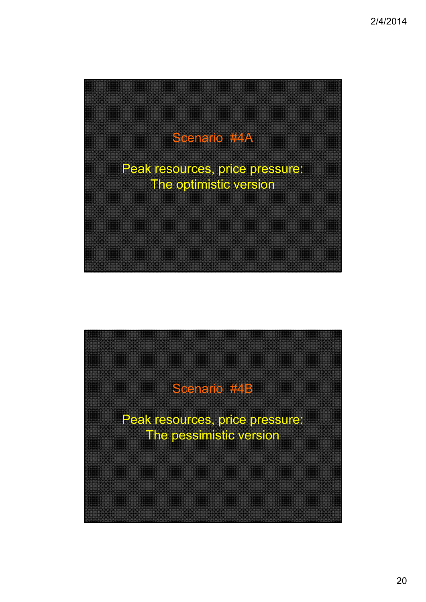

Scenario #4B

Peak resources, price pressure: The pessimistic version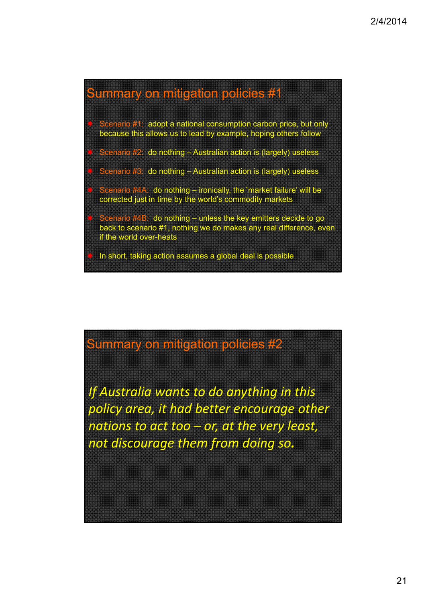### Summary on mitigation policies #1

- cenario #1: adopt a national consumption carbon price, but only because this allows us to lead by example, hoping others follow
- Scenario #2: do nothing Australian action is (largely) useless
- Scenario #3: do nothing Australian action is (largely) useless
- enario #4A: do nothing ironically, the 'market failure' will be corrected just in time by the world's commodity markets
- Scenario #4B: do nothing unless the key emitters decide to go back to scenario #1, nothing we do makes any real difference, even if the world over-heats
- In short, taking action assumes a global deal is possible

## Summary on mitigation policies #2

*If Australia wants to do anything in this policy area, it had better encourage other nations to act too – or, at the very least, not discourage them from doing so.*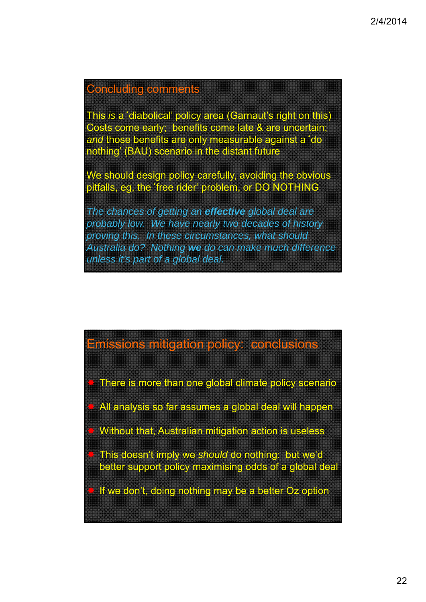### Concluding comments

This *is* a'diabolical' policy area (Garnaut's right on this) Costs come early; benefits come late & are uncertain; *and* those benefits are only measurable against a'do nothing' (BAU) scenario in the distant future

We should design policy carefully, avoiding the obvious pitfalls, eg, the'free rider' problem, or DO NOTHING

*The chances of getting an effective global deal are probably low. We have nearly two decades of history proving this. In these circumstances, what should Australia do? Nothing we do can make much difference unless it's part of a global deal.*

#### Emissions mitigation policy: conclusions

There is more than one global climate policy scenario

All analysis so far assumes a global deal will happen

Without that, Australian mitigation action is useless

 This doesn't imply we *should* do nothing: but we'd better support policy maximising odds of a global deal

If we don't, doing nothing may be a better Oz option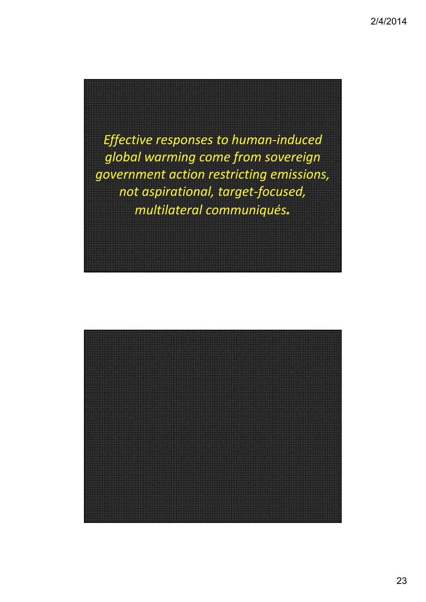*Effective responses to human‐induced global warming come from sovereign government action restricting emissions, not aspirational, target‐focused, multilateral communiqués.*

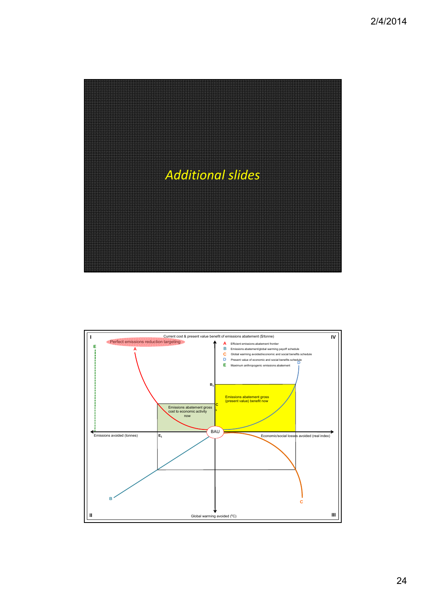

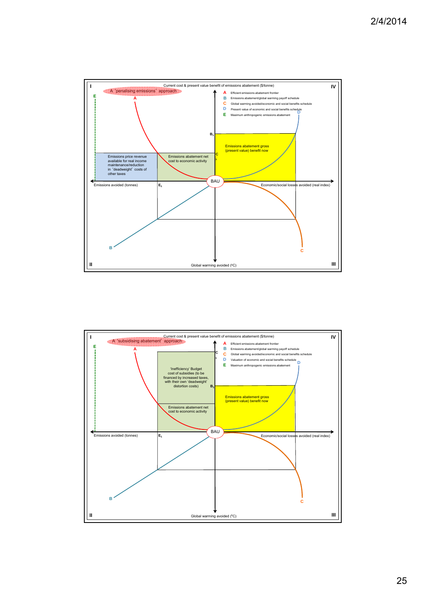